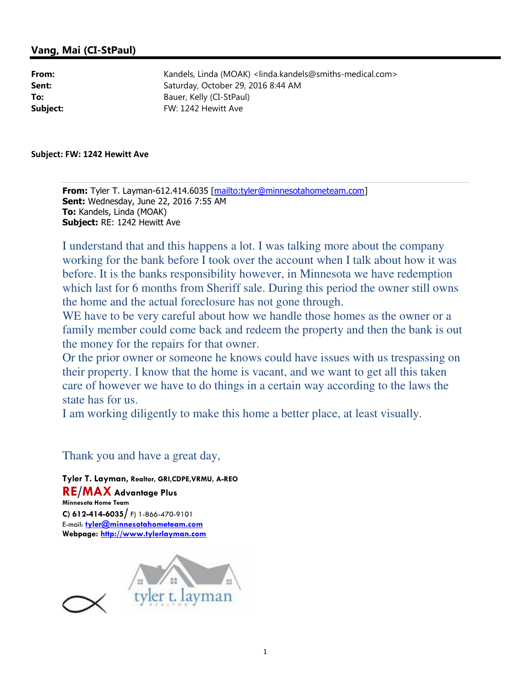## Vang, Mai (CI-StPaul)

From: Kandels, Linda (MOAK) <linda.kandels@smiths-medical.com> Sent: Saturday, October 29, 2016 8:44 AM To: Bauer, Kelly (CI-StPaul) Subject: FW: 1242 Hewitt Ave

Subject: FW: 1242 Hewitt Ave

From: Tyler T. Layman-612.414.6035 [mailto:tyler@minnesotahometeam.com] Sent: Wednesday, June 22, 2016 7:55 AM To: Kandels, Linda (MOAK) Subject: RE: 1242 Hewitt Ave

I understand that and this happens a lot. I was talking more about the company working for the bank before I took over the account when I talk about how it was before. It is the banks responsibility however, in Minnesota we have redemption which last for 6 months from Sheriff sale. During this period the owner still owns the home and the actual foreclosure has not gone through.

WE have to be very careful about how we handle those homes as the owner or a family member could come back and redeem the property and then the bank is out the money for the repairs for that owner.

Or the prior owner or someone he knows could have issues with us trespassing on their property. I know that the home is vacant, and we want to get all this taken care of however we have to do things in a certain way according to the laws the state has for us.

I am working diligently to make this home a better place, at least visually.

### Thank you and have a great day,

Tyler T. Layman, Realtor, GRI,CDPE,VRMU, A-REO RE/MAX Advantage Plus Minnesota Home Team C) 612-414-6035/ F) 1-866-470-9101 E-mail: tyler@minnesotahometeam.com Webpage: http://www.tylerlayman.com

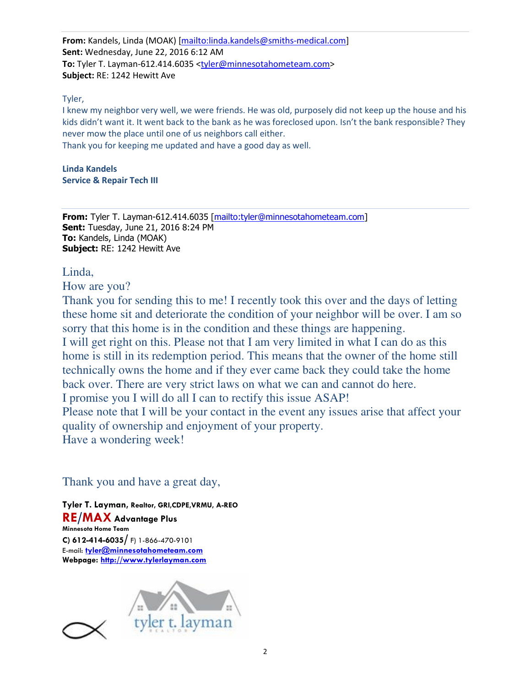From: Kandels, Linda (MOAK) [mailto:linda.kandels@smiths-medical.com] Sent: Wednesday, June 22, 2016 6:12 AM To: Tyler T. Layman-612.414.6035 <tyler@minnesotahometeam.com> Subject: RE: 1242 Hewitt Ave

#### Tyler,

I knew my neighbor very well, we were friends. He was old, purposely did not keep up the house and his kids didn't want it. It went back to the bank as he was foreclosed upon. Isn't the bank responsible? They never mow the place until one of us neighbors call either.

Thank you for keeping me updated and have a good day as well.

Linda Kandels Service & Repair Tech III

From: Tyler T. Layman-612.414.6035 [mailto:tyler@minnesotahometeam.com] **Sent: Tuesday, June 21, 2016 8:24 PM** To: Kandels, Linda (MOAK) Subject: RE: 1242 Hewitt Ave

Linda,

How are you?

Thank you for sending this to me! I recently took this over and the days of letting these home sit and deteriorate the condition of your neighbor will be over. I am so sorry that this home is in the condition and these things are happening. I will get right on this. Please not that I am very limited in what I can do as this home is still in its redemption period. This means that the owner of the home still technically owns the home and if they ever came back they could take the home back over. There are very strict laws on what we can and cannot do here. I promise you I will do all I can to rectify this issue ASAP! Please note that I will be your contact in the event any issues arise that affect your quality of ownership and enjoyment of your property.

Have a wondering week!

# Thank you and have a great day,

Tyler T. Layman, Realtor, GRI,CDPE,VRMU, A-REO RE/MAX Advantage Plus Minnesota Home Team C) 612-414-6035/ F) 1-866-470-9101 E-mail: tyler@minnesotahometeam.com Webpage: http://www.tylerlayman.com